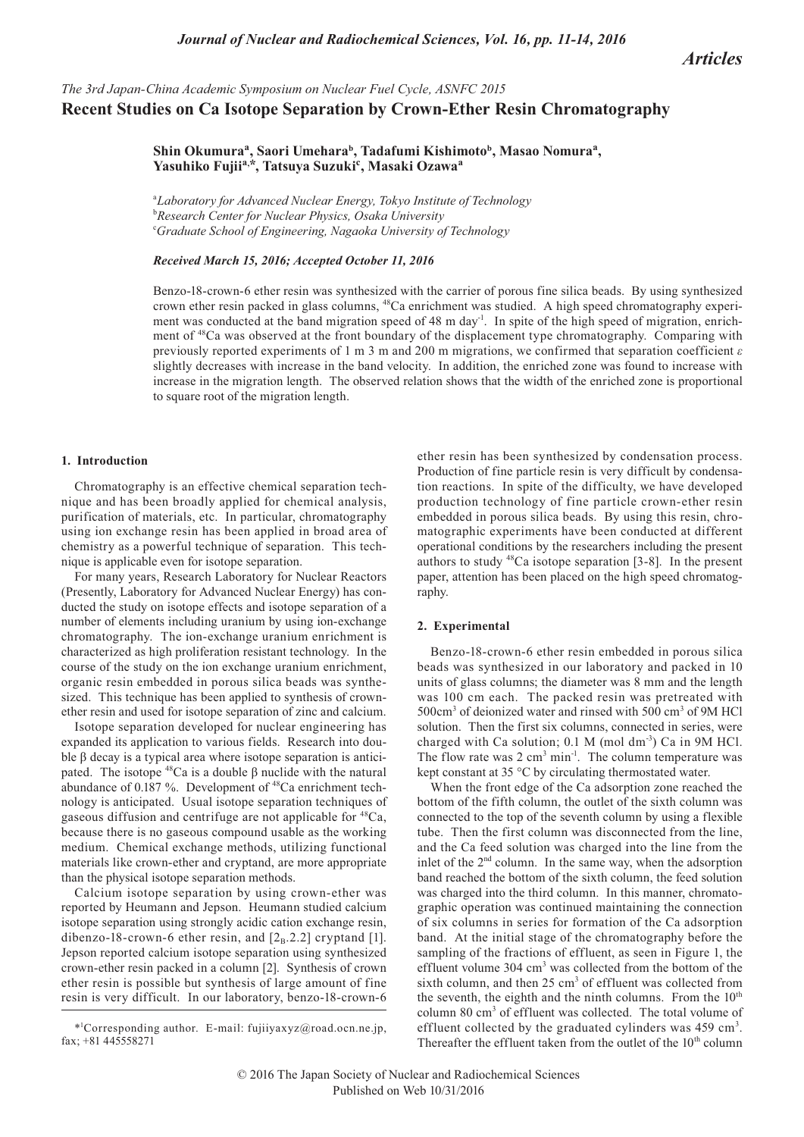*Articles*

# *The 3rd Japan-China Academic Symposium on Nuclear Fuel Cycle, ASNFC 2015* **Recent Studies on Ca Isotope Separation by Crown-Ether Resin Chromatography**

## Shin Okumura<sup>a</sup>, Saori Umehara<sup>b</sup>, Tadafumi Kishimoto<sup>b</sup>, Masao Nomura<sup>a</sup>, **Yasuhiko Fujiia, \*, Tatsuya Suzukic , Masaki Ozawa<sup>a</sup>**

<sup>a</sup>*Laboratory for Advanced Nuclear Energy, Tokyo Institute of Technology* b *Research Center for Nuclear Physics, Osaka University* c *Graduate School of Engineering, Nagaoka University of Technology*

## *Received March 15, 2016; Accepted October 11, 2016*

Benzo-18-crown-6 ether resin was synthesized with the carrier of porous fine silica beads. By using synthesized crown ether resin packed in glass columns, 48Ca enrichment was studied. A high speed chromatography experiment was conducted at the band migration speed of 48 m day<sup>-1</sup>. In spite of the high speed of migration, enrichment of <sup>48</sup>Ca was observed at the front boundary of the displacement type chromatography. Comparing with previously reported experiments of 1 m 3 m and 200 m migrations, we confirmed that separation coefficient *ε* slightly decreases with increase in the band velocity. In addition, the enriched zone was found to increase with increase in the migration length. The observed relation shows that the width of the enriched zone is proportional to square root of the migration length.

#### **1. Introduction**

Chromatography is an effective chemical separation technique and has been broadly applied for chemical analysis, purification of materials, etc. In particular, chromatography using ion exchange resin has been applied in broad area of chemistry as a powerful technique of separation. This technique is applicable even for isotope separation.

For many years, Research Laboratory for Nuclear Reactors (Presently, Laboratory for Advanced Nuclear Energy) has conducted the study on isotope effects and isotope separation of a number of elements including uranium by using ion-exchange chromatography. The ion-exchange uranium enrichment is characterized as high proliferation resistant technology. In the course of the study on the ion exchange uranium enrichment, organic resin embedded in porous silica beads was synthesized. This technique has been applied to synthesis of crownether resin and used for isotope separation of zinc and calcium.

Isotope separation developed for nuclear engineering has expanded its application to various fields. Research into double β decay is a typical area where isotope separation is anticipated. The isotope  $^{48}$ Ca is a double β nuclide with the natural abundance of 0.187 %. Development of <sup>48</sup>Ca enrichment technology is anticipated. Usual isotope separation techniques of gaseous diffusion and centrifuge are not applicable for  ${}^{48}Ca$ , because there is no gaseous compound usable as the working medium. Chemical exchange methods, utilizing functional materials like crown-ether and cryptand, are more appropriate than the physical isotope separation methods.

Calcium isotope separation by using crown-ether was reported by Heumann and Jepson. Heumann studied calcium isotope separation using strongly acidic cation exchange resin, dibenzo-18-crown-6 ether resin, and  $[2_B.2.2]$  cryptand [1]. Jepson reported calcium isotope separation using synthesized crown-ether resin packed in a column [2]. Synthesis of crown ether resin is possible but synthesis of large amount of fine resin is very difficult. In our laboratory, benzo-18-crown-6

ether resin has been synthesized by condensation process. Production of fine particle resin is very difficult by condensation reactions. In spite of the difficulty, we have developed production technology of fine particle crown-ether resin embedded in porous silica beads. By using this resin, chromatographic experiments have been conducted at different operational conditions by the researchers including the present authors to study 48Ca isotope separation [3-8]. In the present paper, attention has been placed on the high speed chromatography.

## **2. Experimental**

Benzo-18-crown-6 ether resin embedded in porous silica beads was synthesized in our laboratory and packed in 10 units of glass columns; the diameter was 8 mm and the length was 100 cm each. The packed resin was pretreated with 500cm<sup>3</sup> of deionized water and rinsed with 500 cm<sup>3</sup> of 9M HCl solution. Then the first six columns, connected in series, were charged with Ca solution;  $0.1 \text{ M}$  (mol dm<sup>-3</sup>) Ca in 9M HCl. The flow rate was  $2 \text{ cm}^3 \text{ min}^{-1}$ . The column temperature was kept constant at 35 °C by circulating thermostated water.

When the front edge of the Ca adsorption zone reached the bottom of the fifth column, the outlet of the sixth column was connected to the top of the seventh column by using a flexible tube. Then the first column was disconnected from the line, and the Ca feed solution was charged into the line from the inlet of the 2<sup>nd</sup> column. In the same way, when the adsorption band reached the bottom of the sixth column, the feed solution was charged into the third column. In this manner, chromatographic operation was continued maintaining the connection of six columns in series for formation of the Ca adsorption band. At the initial stage of the chromatography before the sampling of the fractions of effluent, as seen in Figure 1, the effluent volume 304 cm<sup>3</sup> was collected from the bottom of the sixth column, and then  $25 \text{ cm}^3$  of effluent was collected from the seventh, the eighth and the ninth columns. From the  $10<sup>th</sup>$ column 80 cm<sup>3</sup> of effluent was collected. The total volume of effluent collected by the graduated cylinders was 459 cm<sup>3</sup>. Thereafter the effluent taken from the outlet of the  $10<sup>th</sup>$  column

<sup>\*1</sup> Corresponding author. E-mail: fujiiyaxyz@road.ocn.ne.jp, fax; +81 445558271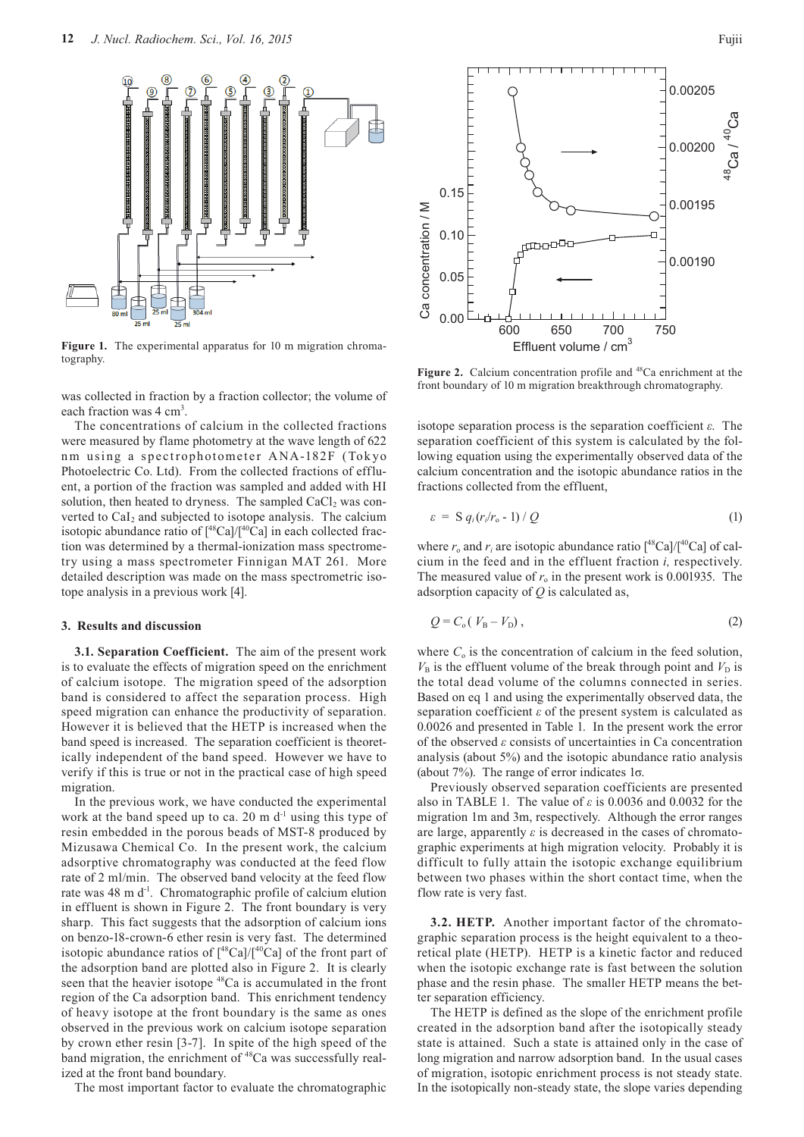

**Figure 1.** The experimental apparatus for 10 m migration chromatography.

was collected in fraction by a fraction collector; the volume of each fraction was 4 cm<sup>3</sup>.

The concentrations of calcium in the collected fractions were measured by flame photometry at the wave length of 622 nm using a spectrophotometer ANA-182F (Tokyo Photoelectric Co. Ltd). From the collected fractions of effluent, a portion of the fraction was sampled and added with HI solution, then heated to dryness. The sampled  $CaCl<sub>2</sub>$  was converted to  $Cal<sub>2</sub>$  and subjected to isotope analysis. The calcium isotopic abundance ratio of  $[^{48}Ca]/[^{40}Ca]$  in each collected fraction was determined by a thermal-ionization mass spectrometry using a mass spectrometer Finnigan MAT 261. More detailed description was made on the mass spectrometric isotope analysis in a previous work [4].

## **3. Results and discussion**

**3.1. Separation Coefficient.** The aim of the present work is to evaluate the effects of migration speed on the enrichment of calcium isotope. The migration speed of the adsorption band is considered to affect the separation process. High speed migration can enhance the productivity of separation. However it is believed that the HETP is increased when the band speed is increased. The separation coefficient is theoretically independent of the band speed. However we have to verify if this is true or not in the practical case of high speed migration.

In the previous work, we have conducted the experimental work at the band speed up to ca. 20 m  $d^{-1}$  using this type of resin embedded in the porous beads of MST-8 produced by Mizusawa Chemical Co. In the present work, the calcium adsorptive chromatography was conducted at the feed flow rate of 2 ml/min. The observed band velocity at the feed flow rate was 48 m d<sup>-1</sup>. Chromatographic profile of calcium elution in effluent is shown in Figure 2. The front boundary is very sharp. This fact suggests that the adsorption of calcium ions on benzo-18-crown-6 ether resin is very fast. The determined isotopic abundance ratios of  $\int^{48}Ca]/\int^{40}Ca$ ] of the front part of the adsorption band are plotted also in Figure 2. It is clearly seen that the heavier isotope <sup>48</sup>Ca is accumulated in the front region of the Ca adsorption band. This enrichment tendency of heavy isotope at the front boundary is the same as ones observed in the previous work on calcium isotope separation by crown ether resin [3-7]. In spite of the high speed of the band migration, the enrichment of <sup>48</sup>Ca was successfully realized at the front band boundary.

The most important factor to evaluate the chromatographic



Figure 2. Calcium concentration profile and <sup>48</sup>Ca enrichment at the front boundary of 10 m migration breakthrough chromatography.

isotope separation process is the separation coefficient *ε*. The separation coefficient of this system is calculated by the following equation using the experimentally observed data of the calcium concentration and the isotopic abundance ratios in the fractions collected from the effluent,

$$
\varepsilon = S q_i (r_i/r_o - 1) / Q \tag{1}
$$

where  $r_0$  and  $r_i$  are isotopic abundance ratio  $\int^{\frac{48}{3}}$ Ca]/ $\int^{\frac{40}{3}}$ Ca] of calcium in the feed and in the effluent fraction *i,* respectively. The measured value of  $r_0$  in the present work is 0.001935. The adsorption capacity of *Q* is calculated as,

$$
Q = C_o (V_B - V_D), \qquad (2)
$$

where  $C_0$  is the concentration of calcium in the feed solution,  $V_B$  is the effluent volume of the break through point and  $V_D$  is the total dead volume of the columns connected in series. Based on eq 1 and using the experimentally observed data, the separation coefficient *ε* of the present system is calculated as 0.0026 and presented in Table 1. In the present work the error of the observed *ε* consists of uncertainties in Ca concentration analysis (about 5%) and the isotopic abundance ratio analysis (about 7%). The range of error indicates 1σ.

Previously observed separation coefficients are presented also in TABLE 1. The value of *ε* is 0.0036 and 0.0032 for the migration 1m and 3m, respectively. Although the error ranges are large, apparently *ε* is decreased in the cases of chromatographic experiments at high migration velocity. Probably it is difficult to fully attain the isotopic exchange equilibrium between two phases within the short contact time, when the flow rate is very fast.

**3.2. HETP.** Another important factor of the chromatographic separation process is the height equivalent to a theoretical plate (HETP). HETP is a kinetic factor and reduced when the isotopic exchange rate is fast between the solution phase and the resin phase. The smaller HETP means the better separation efficiency.

The HETP is defined as the slope of the enrichment profile created in the adsorption band after the isotopically steady state is attained. Such a state is attained only in the case of long migration and narrow adsorption band. In the usual cases of migration, isotopic enrichment process is not steady state. In the isotopically non-steady state, the slope varies depending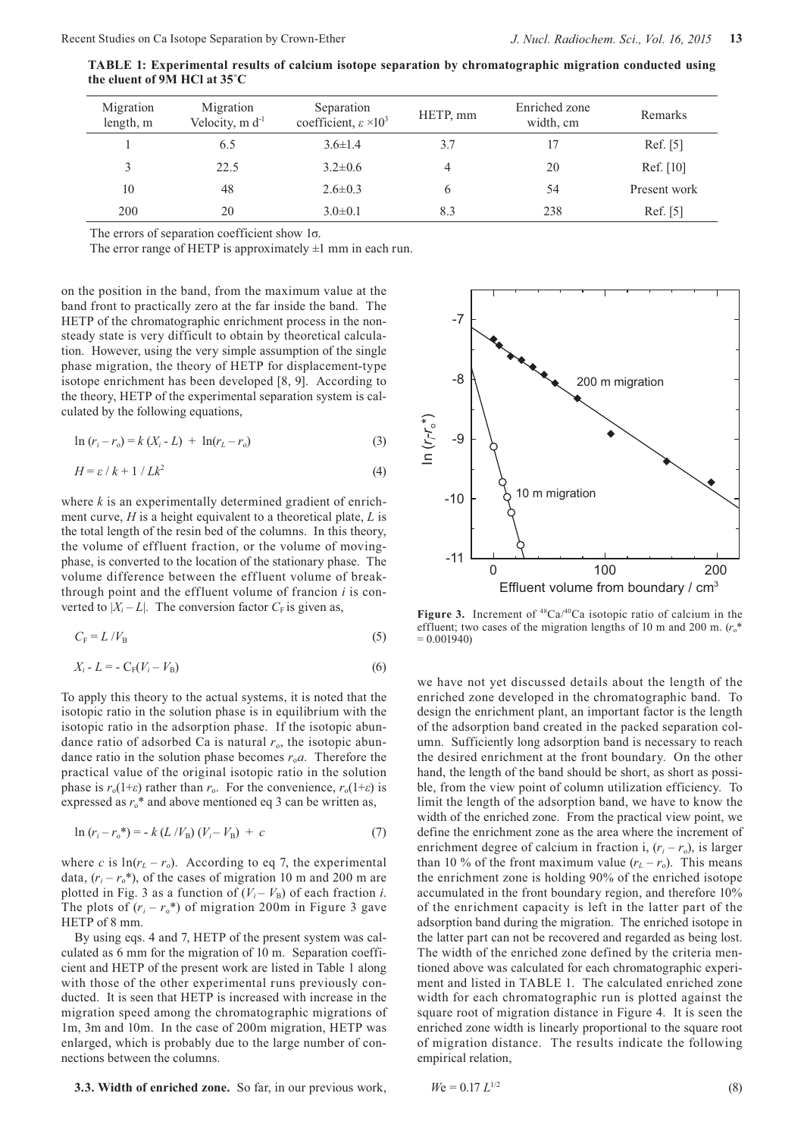| Migration<br>length, m | Migration<br>Velocity, $m d^{-1}$ | Separation<br>coefficient, $\varepsilon \times 10^3$ | HETP, mm | Enriched zone<br>width, cm | Remarks      |
|------------------------|-----------------------------------|------------------------------------------------------|----------|----------------------------|--------------|
|                        | 6.5                               | $3.6 \pm 1.4$                                        | 3.7      | 17                         | Ref. [5]     |
| 3                      | 22.5                              | $3.2 \pm 0.6$                                        | 4        | 20                         | Ref. [10]    |
| 10                     | 48                                | $2.6 \pm 0.3$                                        |          | 54                         | Present work |
| 200                    | 20                                | $3.0 \pm 0.1$                                        | 8.3      | 238                        | Ref. [5]     |

**TABLE 1: Experimental results of calcium isotope separation by chromatographic migration conducted using the eluent of 9M HCl at 35˚C**

The errors of separation coefficient show 1σ.

The error range of HETP is approximately  $\pm 1$  mm in each run.

on the position in the band, from the maximum value at the band front to practically zero at the far inside the band. The HETP of the chromatographic enrichment process in the nonsteady state is very difficult to obtain by theoretical calculation. However, using the very simple assumption of the single phase migration, the theory of HETP for displacement-type isotope enrichment has been developed [8, 9]. According to the theory, HETP of the experimental separation system is calculated by the following equations,

$$
\ln (r_i - r_o) = k (X_i - L) + \ln(r_L - r_o)
$$
\n(3)

$$
H = \varepsilon / k + 1 / Lk^2 \tag{4}
$$

where *k* is an experimentally determined gradient of enrichment curve, *H* is a height equivalent to a theoretical plate, *L* is the total length of the resin bed of the columns. In this theory, the volume of effluent fraction, or the volume of movingphase, is converted to the location of the stationary phase. The volume difference between the effluent volume of breakthrough point and the effluent volume of francion *i* is converted to  $|X_i - L|$ . The conversion factor  $C_F$  is given as,

$$
C_{\rm F} = L / V_{\rm B} \tag{5}
$$

$$
X_i - L = -C_F(V_i - V_B)
$$
\n<sup>(6)</sup>

To apply this theory to the actual systems, it is noted that the isotopic ratio in the solution phase is in equilibrium with the isotopic ratio in the adsorption phase. If the isotopic abundance ratio of adsorbed Ca is natural  $r<sub>o</sub>$ , the isotopic abundance ratio in the solution phase becomes  $r_0a$ . Therefore the practical value of the original isotopic ratio in the solution phase is  $r_o(1+\varepsilon)$  rather than  $r_o$ . For the convenience,  $r_o(1+\varepsilon)$  is expressed as  $r_0^*$  and above mentioned eq 3 can be written as,

$$
\ln (r_i - r_o^*) = -k (L/V_B)(V_i - V_B) + c \tag{7}
$$

where *c* is  $\ln(r_L - r_o)$ . According to eq 7, the experimental data,  $(r_i - r_o^*)$ , of the cases of migration 10 m and 200 m are plotted in Fig. 3 as a function of  $(V_i - V_B)$  of each fraction *i*. The plots of  $(r_i - r_o^*)$  of migration 200m in Figure 3 gave HETP of 8 mm.

By using eqs. 4 and 7, HETP of the present system was calculated as 6 mm for the migration of 10 m. Separation coefficient and HETP of the present work are listed in Table 1 along with those of the other experimental runs previously conducted. It is seen that HETP is increased with increase in the migration speed among the chromatographic migrations of 1m, 3m and 10m. In the case of 200m migration, HETP was enlarged, which is probably due to the large number of connections between the columns.

**3.3. Width of enriched zone.** So far, in our previous work,



**Figure 3.** Increment of  $^{48}Ca^{40}Ca$  isotopic ratio of calcium in the effluent; two cases of the migration lengths of 10 m and 200 m. ( $r_0^*$ )  $= 0.001940$ 

we have not yet discussed details about the length of the enriched zone developed in the chromatographic band. To design the enrichment plant, an important factor is the length of the adsorption band created in the packed separation column. Sufficiently long adsorption band is necessary to reach the desired enrichment at the front boundary. On the other hand, the length of the band should be short, as short as possible, from the view point of column utilization efficiency. To limit the length of the adsorption band, we have to know the width of the enriched zone. From the practical view point, we define the enrichment zone as the area where the increment of enrichment degree of calcium in fraction i,  $(r_i - r_o)$ , is larger than 10 % of the front maximum value  $(r_L - r_o)$ . This means the enrichment zone is holding 90% of the enriched isotope accumulated in the front boundary region, and therefore 10% of the enrichment capacity is left in the latter part of the adsorption band during the migration. The enriched isotope in the latter part can not be recovered and regarded as being lost. The width of the enriched zone defined by the criteria mentioned above was calculated for each chromatographic experiment and listed in TABLE 1. The calculated enriched zone width for each chromatographic run is plotted against the square root of migration distance in Figure 4. It is seen the enriched zone width is linearly proportional to the square root of migration distance. The results indicate the following empirical relation,

$$
W\mathbf{e} = 0.17 \ L^{1/2} \tag{8}
$$